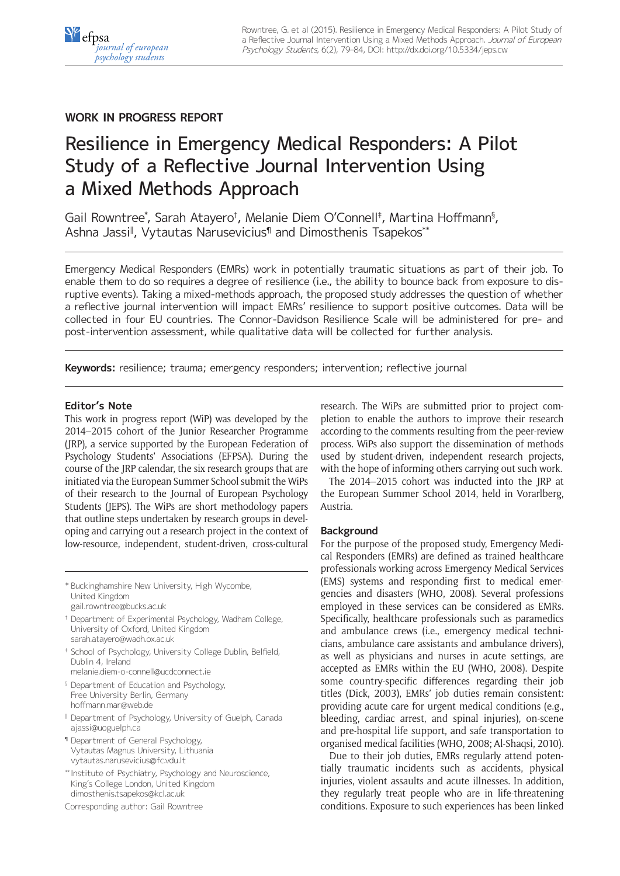## **WORK IN PROGRESS REPORT**

# Resilience in Emergency Medical Responders: A Pilot Study of a Reflective Journal Intervention Using a Mixed Methods Approach

Gail Rowntree\* , Sarah Atayero† , Melanie Diem O'Connell‡ , Martina Hoffmann§ , Ashna Jassi‖ , Vytautas Narusevicius¶ and Dimosthenis Tsapekos\*\*

Emergency Medical Responders (EMRs) work in potentially traumatic situations as part of their job. To enable them to do so requires a degree of resilience (i.e., the ability to bounce back from exposure to disruptive events). Taking a mixed-methods approach, the proposed study addresses the question of whether a reflective journal intervention will impact EMRs' resilience to support positive outcomes. Data will be collected in four EU countries. The Connor-Davidson Resilience Scale will be administered for pre- and post-intervention assessment, while qualitative data will be collected for further analysis.

**Keywords:** resilience; trauma; emergency responders; intervention; reflective journal

### **Editor's Note**

This work in progress report (WiP) was developed by the 2014–2015 cohort of the Junior Researcher Programme (JRP), a service supported by the European Federation of Psychology Students' Associations (EFPSA). During the course of the JRP calendar, the six research groups that are initiated via the European Summer School submit the WiPs of their research to the Journal of European Psychology Students (JEPS). The WiPs are short methodology papers that outline steps undertaken by research groups in developing and carrying out a research project in the context of low-resource, independent, student-driven, cross-cultural

\* Buckinghamshire New University, High Wycombe, United Kingdom [gail.rowntree@bucks.ac.uk](mailto:gail.rowntree@bucks.ac.uk)

- † Department of Experimental Psychology, Wadham College, University of Oxford, United Kingdom [sarah.atayero@wadh.ox.ac.uk](mailto:sarah.atayero@wadh.ox.ac.uk)
- ‡ School of Psychology, University College Dublin, Belfield, Dublin 4, Ireland
- [melanie.diem-o-connell@ucdconnect.ie](mailto:melanie.diem-o-connell@ucdconnect.ie) § Department of Education and Psychology, Free University Berlin, Germany
- [hoffmann.mar@web.de](mailto:hoffmann.mar@web.de) ‖ Department of Psychology, University of Guelph, Canada [ajassi@uoguelph.ca](mailto:ajassi@uoguelph.ca)
- ¶ Department of General Psychology, Vytautas Magnus University, Lithuania [vytautas.narusevicius@fc.vdu.lt](mailto:vytautas.narusevicius@fc.vdu.lt)
- \*\* Institute of Psychiatry, Psychology and Neuroscience, King´s College London, United Kingdom [dimosthenis.tsapekos@kcl.ac.uk](mailto:dimosthenis.tsapekos@kcl.ac.uk)

Corresponding author: Gail Rowntree

research. The WiPs are submitted prior to project completion to enable the authors to improve their research according to the comments resulting from the peer-review process. WiPs also support the dissemination of methods used by student-driven, independent research projects, with the hope of informing others carrying out such work.

The 2014–2015 cohort was inducted into the JRP at the European Summer School 2014, held in Vorarlberg, Austria.

## **Background**

For the purpose of the proposed study, Emergency Medical Responders (EMRs) are defined as trained healthcare professionals working across Emergency Medical Services (EMS) systems and responding first to medical emergencies and disasters (WHO, 2008). Several professions employed in these services can be considered as EMRs. Specifically, healthcare professionals such as paramedics and ambulance crews (i.e., emergency medical technicians, ambulance care assistants and ambulance drivers), as well as physicians and nurses in acute settings, are accepted as EMRs within the EU (WHO, 2008). Despite some country-specific differences regarding their job titles (Dick, 2003), EMRs' job duties remain consistent: providing acute care for urgent medical conditions (e.g., bleeding, cardiac arrest, and spinal injuries), on-scene and pre-hospital life support, and safe transportation to organised medical facilities (WHO, 2008; Al-Shaqsi, 2010).

Due to their job duties, EMRs regularly attend potentially traumatic incidents such as accidents, physical injuries, violent assaults and acute illnesses. In addition, they regularly treat people who are in life-threatening conditions. Exposure to such experiences has been linked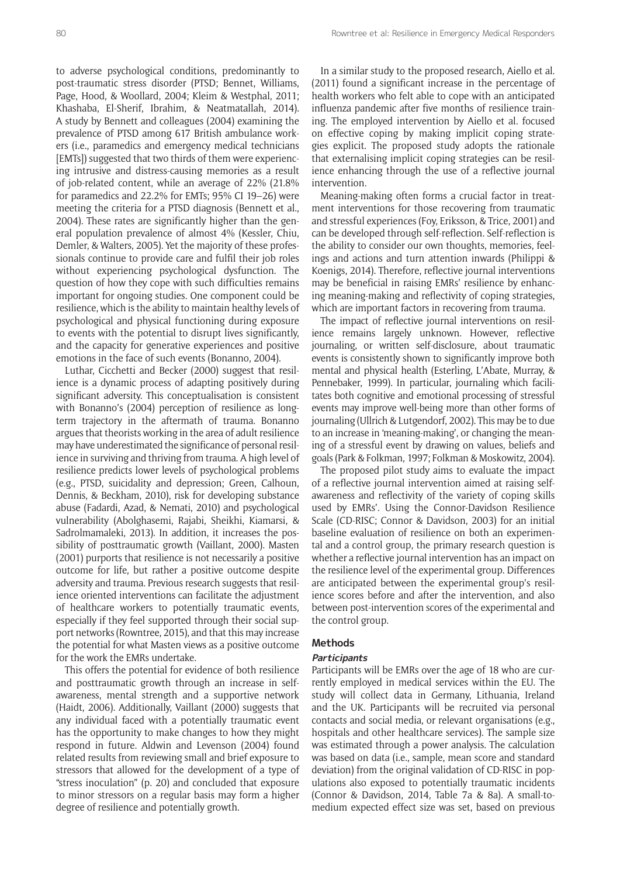to adverse psychological conditions, predominantly to post-traumatic stress disorder (PTSD; Bennet, Williams, Page, Hood, & Woollard, 2004; Kleim & Westphal, 2011; Khashaba, El-Sherif, Ibrahim, & Neatmatallah, 2014). A study by Bennett and colleagues (2004) examining the prevalence of PTSD among 617 British ambulance workers (i.e., paramedics and emergency medical technicians [EMTs]) suggested that two thirds of them were experiencing intrusive and distress-causing memories as a result of job-related content, while an average of 22% (21.8% for paramedics and 22.2% for EMTs; 95% CI 19–26) were meeting the criteria for a PTSD diagnosis (Bennett et al., 2004). These rates are significantly higher than the general population prevalence of almost 4% (Kessler, Chiu, Demler, & Walters, 2005). Yet the majority of these professionals continue to provide care and fulfil their job roles without experiencing psychological dysfunction. The question of how they cope with such difficulties remains important for ongoing studies. One component could be resilience, which is the ability to maintain healthy levels of psychological and physical functioning during exposure to events with the potential to disrupt lives significantly, and the capacity for generative experiences and positive emotions in the face of such events (Bonanno, 2004).

Luthar, Cicchetti and Becker (2000) suggest that resilience is a dynamic process of adapting positively during significant adversity. This conceptualisation is consistent with Bonanno's (2004) perception of resilience as longterm trajectory in the aftermath of trauma. Bonanno argues that theorists working in the area of adult resilience may have underestimated the significance of personal resilience in surviving and thriving from trauma. A high level of resilience predicts lower levels of psychological problems (e.g., PTSD, suicidality and depression; Green, Calhoun, Dennis, & Beckham, 2010), risk for developing substance abuse (Fadardi, Azad, & Nemati, 2010) and psychological vulnerability (Abolghasemi, Rajabi, Sheikhi, Kiamarsi, & Sadrolmamaleki, 2013). In addition, it increases the possibility of posttraumatic growth (Vaillant, 2000). Masten (2001) purports that resilience is not necessarily a positive outcome for life, but rather a positive outcome despite adversity and trauma. Previous research suggests that resilience oriented interventions can facilitate the adjustment of healthcare workers to potentially traumatic events, especially if they feel supported through their social support networks (Rowntree, 2015), and that this may increase the potential for what Masten views as a positive outcome for the work the EMRs undertake.

This offers the potential for evidence of both resilience and posttraumatic growth through an increase in selfawareness, mental strength and a supportive network (Haidt, 2006). Additionally, Vaillant (2000) suggests that any individual faced with a potentially traumatic event has the opportunity to make changes to how they might respond in future. Aldwin and Levenson (2004) found related results from reviewing small and brief exposure to stressors that allowed for the development of a type of "stress inoculation" (p. 20) and concluded that exposure to minor stressors on a regular basis may form a higher degree of resilience and potentially growth.

In a similar study to the proposed research, Aiello et al. (2011) found a significant increase in the percentage of health workers who felt able to cope with an anticipated influenza pandemic after five months of resilience training. The employed intervention by Aiello et al. focused on effective coping by making implicit coping strategies explicit. The proposed study adopts the rationale that externalising implicit coping strategies can be resilience enhancing through the use of a reflective journal intervention.

Meaning-making often forms a crucial factor in treatment interventions for those recovering from traumatic and stressful experiences (Foy, Eriksson, & Trice, 2001) and can be developed through self-reflection. Self-reflection is the ability to consider our own thoughts, memories, feelings and actions and turn attention inwards (Philippi & Koenigs, 2014). Therefore, reflective journal interventions may be beneficial in raising EMRs' resilience by enhancing meaning-making and reflectivity of coping strategies, which are important factors in recovering from trauma.

The impact of reflective journal interventions on resilience remains largely unknown. However, reflective journaling, or written self-disclosure, about traumatic events is consistently shown to significantly improve both mental and physical health (Esterling, L'Abate, Murray, & Pennebaker, 1999). In particular, journaling which facilitates both cognitive and emotional processing of stressful events may improve well-being more than other forms of journaling (Ullrich & Lutgendorf, 2002). This may be to due to an increase in 'meaning-making', or changing the meaning of a stressful event by drawing on values, beliefs and goals (Park & Folkman, 1997; Folkman & Moskowitz, 2004).

The proposed pilot study aims to evaluate the impact of a reflective journal intervention aimed at raising selfawareness and reflectivity of the variety of coping skills used by EMRs'. Using the Connor-Davidson Resilience Scale (CD-RISC; Connor & Davidson, 2003) for an initial baseline evaluation of resilience on both an experimental and a control group, the primary research question is whether a reflective journal intervention has an impact on the resilience level of the experimental group. Differences are anticipated between the experimental group's resilience scores before and after the intervention, and also between post-intervention scores of the experimental and the control group.

## **Methods**

#### **Participants**

Participants will be EMRs over the age of 18 who are currently employed in medical services within the EU. The study will collect data in Germany, Lithuania, Ireland and the UK. Participants will be recruited via personal contacts and social media, or relevant organisations (e.g., hospitals and other healthcare services). The sample size was estimated through a power analysis. The calculation was based on data (i.e., sample, mean score and standard deviation) from the original validation of CD-RISC in populations also exposed to potentially traumatic incidents (Connor & Davidson, 2014, Table 7a & 8a). A small-tomedium expected effect size was set, based on previous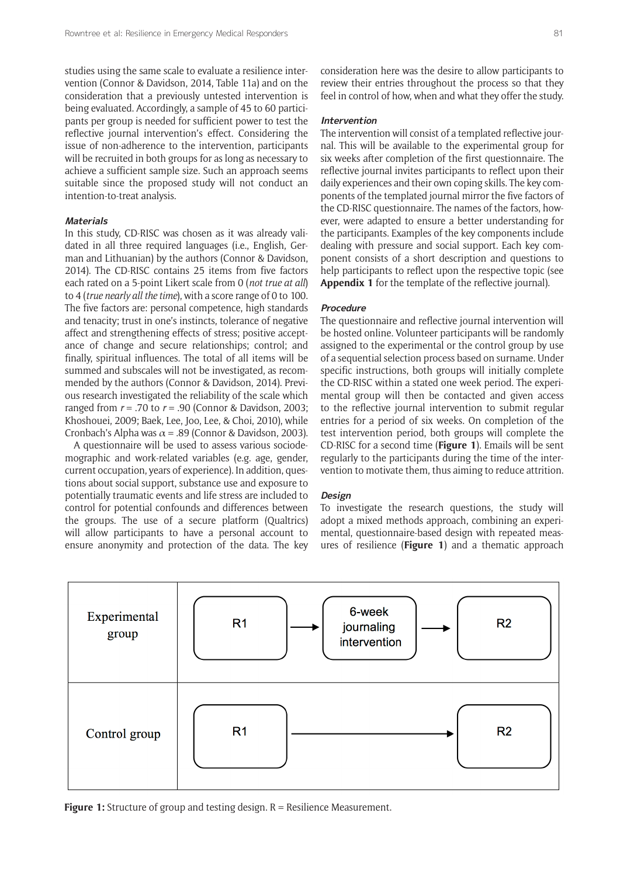studies using the same scale to evaluate a resilience intervention (Connor & Davidson, 2014, Table 11a) and on the consideration that a previously untested intervention is being evaluated. Accordingly, a sample of 45 to 60 participants per group is needed for sufficient power to test the reflective journal intervention's effect. Considering the issue of non-adherence to the intervention, participants will be recruited in both groups for as long as necessary to achieve a sufficient sample size. Such an approach seems suitable since the proposed study will not conduct an intention-to-treat analysis.

## **Materials**

In this study, CD-RISC was chosen as it was already validated in all three required languages (i.e., English, German and Lithuanian) by the authors (Connor & Davidson, 2014). The CD-RISC contains 25 items from five factors each rated on a 5-point Likert scale from 0 (*not true at all*) to 4 (*true nearly all the time*), with a score range of 0 to 100. The five factors are: personal competence, high standards and tenacity; trust in one's instincts, tolerance of negative affect and strengthening effects of stress; positive acceptance of change and secure relationships; control; and finally, spiritual influences. The total of all items will be summed and subscales will not be investigated, as recommended by the authors (Connor & Davidson, 2014). Previous research investigated the reliability of the scale which ranged from *r* = .70 to *r* = .90 (Connor & Davidson, 2003; Khoshouei, 2009; Baek, Lee, Joo, Lee, & Choi, 2010), while Cronbach's Alpha was  $\alpha$  = .89 (Connor & Davidson, 2003).

A questionnaire will be used to assess various sociodemographic and work-related variables (e.g. age, gender, current occupation, years of experience). In addition, questions about social support, substance use and exposure to potentially traumatic events and life stress are included to control for potential confounds and differences between the groups. The use of a secure platform (Qualtrics) will allow participants to have a personal account to ensure anonymity and protection of the data. The key consideration here was the desire to allow participants to review their entries throughout the process so that they feel in control of how, when and what they offer the study.

#### **Intervention**

The intervention will consist of a templated reflective journal. This will be available to the experimental group for six weeks after completion of the first questionnaire. The reflective journal invites participants to reflect upon their daily experiences and their own coping skills. The key components of the templated journal mirror the five factors of the CD-RISC questionnaire. The names of the factors, however, were adapted to ensure a better understanding for the participants. Examples of the key components include dealing with pressure and social support. Each key component consists of a short description and questions to help participants to reflect upon the respective topic (see **Appendix 1** for the template of the reflective journal).

#### **Procedure**

The questionnaire and reflective journal intervention will be hosted online. Volunteer participants will be randomly assigned to the experimental or the control group by use of a sequential selection process based on surname. Under specific instructions, both groups will initially complete the CD-RISC within a stated one week period. The experimental group will then be contacted and given access to the reflective journal intervention to submit regular entries for a period of six weeks. On completion of the test intervention period, both groups will complete the CD-RISC for a second time (**Figure 1**). Emails will be sent regularly to the participants during the time of the intervention to motivate them, thus aiming to reduce attrition.

## **Design**

To investigate the research questions, the study will adopt a mixed methods approach, combining an experimental, questionnaire-based design with repeated measures of resilience (**Figure 1**) and a thematic approach



**Figure 1:** Structure of group and testing design. R = Resilience Measurement.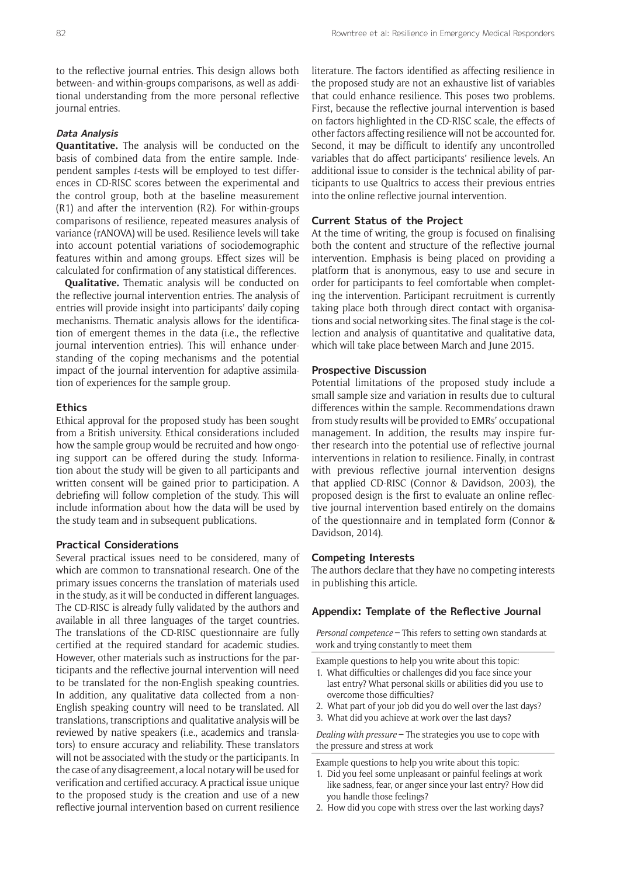to the reflective journal entries. This design allows both between- and within-groups comparisons, as well as additional understanding from the more personal reflective journal entries.

## **Data Analysis**

**Quantitative.** The analysis will be conducted on the basis of combined data from the entire sample. Independent samples *t-*tests will be employed to test differences in CD-RISC scores between the experimental and the control group, both at the baseline measurement (R1) and after the intervention (R2). For within-groups comparisons of resilience, repeated measures analysis of variance (rANOVA) will be used. Resilience levels will take into account potential variations of sociodemographic features within and among groups. Effect sizes will be calculated for confirmation of any statistical differences.

**Qualitative.** Thematic analysis will be conducted on the reflective journal intervention entries. The analysis of entries will provide insight into participants' daily coping mechanisms. Thematic analysis allows for the identification of emergent themes in the data (i.e., the reflective journal intervention entries). This will enhance understanding of the coping mechanisms and the potential impact of the journal intervention for adaptive assimilation of experiences for the sample group.

#### **Ethics**

Ethical approval for the proposed study has been sought from a British university. Ethical considerations included how the sample group would be recruited and how ongoing support can be offered during the study. Information about the study will be given to all participants and written consent will be gained prior to participation. A debriefing will follow completion of the study. This will include information about how the data will be used by the study team and in subsequent publications.

#### **Practical Considerations**

Several practical issues need to be considered, many of which are common to transnational research. One of the primary issues concerns the translation of materials used in the study, as it will be conducted in different languages. The CD-RISC is already fully validated by the authors and available in all three languages of the target countries. The translations of the CD-RISC questionnaire are fully certified at the required standard for academic studies. However, other materials such as instructions for the participants and the reflective journal intervention will need to be translated for the non-English speaking countries. In addition, any qualitative data collected from a non-English speaking country will need to be translated. All translations, transcriptions and qualitative analysis will be reviewed by native speakers (i.e., academics and translators) to ensure accuracy and reliability. These translators will not be associated with the study or the participants. In the case of any disagreement, a local notary will be used for verification and certified accuracy. A practical issue unique to the proposed study is the creation and use of a new reflective journal intervention based on current resilience literature. The factors identified as affecting resilience in the proposed study are not an exhaustive list of variables that could enhance resilience. This poses two problems. First, because the reflective journal intervention is based on factors highlighted in the CD-RISC scale, the effects of other factors affecting resilience will not be accounted for. Second, it may be difficult to identify any uncontrolled variables that do affect participants' resilience levels. An additional issue to consider is the technical ability of participants to use Qualtrics to access their previous entries into the online reflective journal intervention.

## **Current Status of the Project**

At the time of writing, the group is focused on finalising both the content and structure of the reflective journal intervention. Emphasis is being placed on providing a platform that is anonymous, easy to use and secure in order for participants to feel comfortable when completing the intervention. Participant recruitment is currently taking place both through direct contact with organisations and social networking sites. The final stage is the collection and analysis of quantitative and qualitative data, which will take place between March and June 2015.

#### **Prospective Discussion**

Potential limitations of the proposed study include a small sample size and variation in results due to cultural differences within the sample. Recommendations drawn from study results will be provided to EMRs' occupational management. In addition, the results may inspire further research into the potential use of reflective journal interventions in relation to resilience. Finally, in contrast with previous reflective journal intervention designs that applied CD-RISC (Connor & Davidson, 2003), the proposed design is the first to evaluate an online reflective journal intervention based entirely on the domains of the questionnaire and in templated form (Connor & Davidson, 2014).

#### **Competing Interests**

The authors declare that they have no competing interests in publishing this article.

#### **Appendix: Template of the Reflective Journal**

*Personal competence* **–** This refers to setting own standards at work and trying constantly to meet them

Example questions to help you write about this topic:

- 1. What difficulties or challenges did you face since your last entry? What personal skills or abilities did you use to overcome those difficulties?
- 2. What part of your job did you do well over the last days?
- 3. What did you achieve at work over the last days?

*Dealing with pressure* **–** The strategies you use to cope with the pressure and stress at work

Example questions to help you write about this topic:

- 1. Did you feel some unpleasant or painful feelings at work like sadness, fear, or anger since your last entry? How did you handle those feelings?
- 2. How did you cope with stress over the last working days?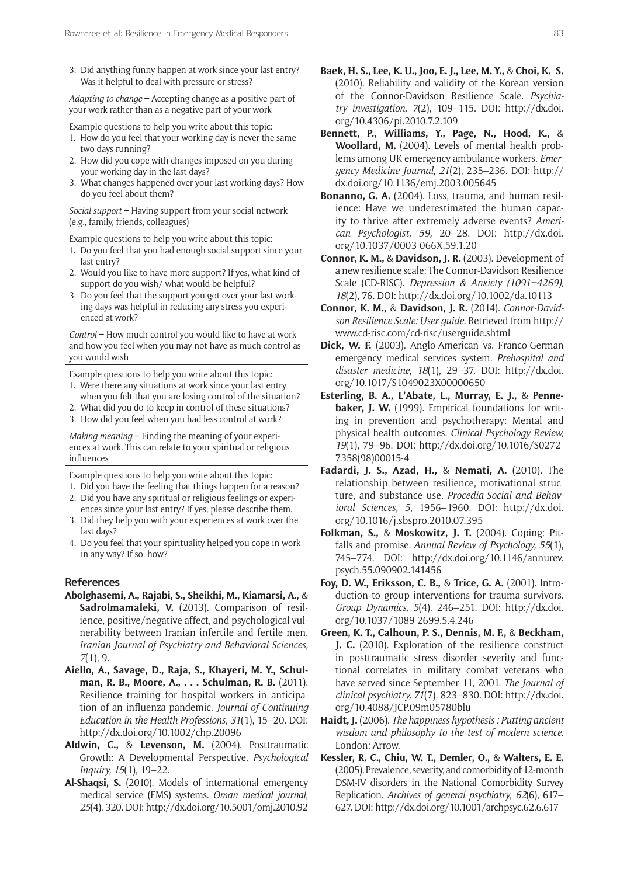3. Did anything funny happen at work since your last entry? Was it helpful to deal with pressure or stress?

*Adapting to change* **–** Accepting change as a positive part of your work rather than as a negative part of your work

- Example questions to help you write about this topic:
- 1. How do you feel that your working day is never the same two days running?
- 2. How did you cope with changes imposed on you during your working day in the last days?
- 3. What changes happened over your last working days? How do you feel about them?

*Social support* **–** Having support from your social network (e.g., family, friends, colleagues)

Example questions to help you write about this topic:

- 1. Do you feel that you had enough social support since your last entry?
- 2. Would you like to have more support? If yes, what kind of support do you wish/ what would be helpful?
- 3. Do you feel that the support you got over your last working days was helpful in reducing any stress you experienced at work?

*Control* **–** How much control you would like to have at work and how you feel when you may not have as much control as you would wish

Example questions to help you write about this topic:

- 1. Were there any situations at work since your last entry
- when you felt that you are losing control of the situation?
- 2. What did you do to keep in control of these situations? 3. How did you feel when you had less control at work?

*Making meaning* **–** Finding the meaning of your experiences at work. This can relate to your spiritual or religious influences

Example questions to help you write about this topic:

- 1. Did you have the feeling that things happen for a reason? 2. Did you have any spiritual or religious feelings or experi-
- ences since your last entry? If yes, please describe them. 3. Did they help you with your experiences at work over the last days?
- 4. Do you feel that your spirituality helped you cope in work in any way? If so, how?

#### **References**

- **Abolghasemi, A., Rajabi, S., Sheikhi, M., Kiamarsi, A.,** & **Sadrolmamaleki, V.** (2013). Comparison of resilience, positive/negative affect, and psychological vulnerability between Iranian infertile and fertile men. *Iranian Journal of Psychiatry and Behavioral Sciences, 7*(1), 9.
- **Aiello, A., Savage, D., Raja, S., Khayeri, M. Y., Schulman, R. B., Moore, A., . . . Schulman, R. B.** (2011). Resilience training for hospital workers in anticipation of an influenza pandemic. *Journal of Continuing Education in the Health Professions, 31*(1), 15–20. DOI: <http://dx.doi.org/10.1002/chp.20096>
- **Aldwin, C.,** & **Levenson, M.** (2004). Posttraumatic Growth: A Developmental Perspective. *Psychological Inquiry, 15*(1), 19–22.
- **Al-Shaqsi, S.** (2010). Models of international emergency medical service (EMS) systems. *Oman medical journal*, *25*(4), 320. DOI: [http://dx.doi.org/10.5001/omj.2010.92](http://dx.doi.org/10.5001/omj.2010.92 )
- **Baek, H. S., Lee, K. U., Joo, E. J., Lee, M. Y.,** & **Choi, K. S.** (2010). Reliability and validity of the Korean version of the Connor-Davidson Resilience Scale. *Psychiatry investigation, 7*(2), 109–115. DOI: [http://dx.doi.](http://dx.doi.org/10.4306/pi.2010.7.2.109) [org/10.4306/pi.2010.7.2.109](http://dx.doi.org/10.4306/pi.2010.7.2.109)
- **Bennett, P., Williams, Y., Page, N., Hood, K.,** & **Woollard, M.** (2004). Levels of mental health problems among UK emergency ambulance workers. *Emergency Medicine Journal*, *21*(2), 235–236. DOI: [http://](http://dx.doi.org/10.1136/emj.2003.005645) [dx.doi.org/10.1136/emj.2003.005645](http://dx.doi.org/10.1136/emj.2003.005645)
- **Bonanno, G. A.** (2004). Loss, trauma, and human resilience: Have we underestimated the human capacity to thrive after extremely adverse events? *American Psychologist, 59,* 20–28. DOI: [http://dx.doi.](http://dx.doi.org/10.1037/0003-066X.59.1.20) [org/10.1037/0003-066X.59.1.20](http://dx.doi.org/10.1037/0003-066X.59.1.20)
- **Connor, K. M.,** & **Davidson, J. R.** (2003). Development of a new resilience scale: The Connor-Davidson Resilience Scale (CD-RISC). *Depression & Anxiety (1091–4269), 18*(2), 76. DOI: <http://dx.doi.org/10.1002/da.10113>
- **Connor, K. M.,** & **Davidson, J. R.** (2014). *Connor-Davidson Resilience Scale: User guide.* Retrieved from [http://](http://www.cd-risc.com/cd-risc/userguide.shtml) [www.cd-risc.com/cd-risc/userguide.shtml](http://www.cd-risc.com/cd-risc/userguide.shtml)
- **Dick, W. F.** (2003). Anglo-American vs. Franco-German emergency medical services system. *Prehospital and disaster medicine*, *18*(1), 29–37. DOI: [http://dx.doi.](http://dx.doi.org/10.1017/S1049023X00000650) [org/10.1017/S1049023X00000650](http://dx.doi.org/10.1017/S1049023X00000650)
- **Esterling, B. A., L'Abate, L., Murray, E. J.,** & **Pennebaker, J. W.** (1999). Empirical foundations for writing in prevention and psychotherapy: Mental and physical health outcomes. *Clinical Psychology Review, 19*(1), 79–96. DOI: [http://dx.doi.org/10.1016/S0272-](http://dx.doi.org/10.1016/S0272-7358(98)00015-4) [7358\(98\)00015-4](http://dx.doi.org/10.1016/S0272-7358(98)00015-4)
- **Fadardi, J. S., Azad, H.,** & **Nemati, A.** (2010). The relationship between resilience, motivational structure, and substance use. *Procedia-Social and Behavioral Sciences, 5*, 1956–1960. DOI: [http://dx.doi.](http://dx.doi.org/10.1016/j.sbspro.2010.07.395) [org/10.1016/j.sbspro.2010.07.395](http://dx.doi.org/10.1016/j.sbspro.2010.07.395)
- **Folkman, S.,** & **Moskowitz, J. T.** (2004). Coping: Pitfalls and promise. *Annual Review of Psychology, 55*(1), 745–774. DOI: [http://dx.doi.org/10.1146/annurev.](http://dx.doi.org/10.1146/annurev.psych.55.090902.141456) [psych.55.090902.141456](http://dx.doi.org/10.1146/annurev.psych.55.090902.141456)
- **Foy, D. W., Eriksson, C. B.,** & **Trice, G. A.** (2001). Introduction to group interventions for trauma survivors. *Group Dynamics, 5*(4), 246–251. DOI: [http://dx.doi.](http://dx.doi.org/10.1037/1089-2699.5.4.246) [org/10.1037/1089-2699.5.4.246](http://dx.doi.org/10.1037/1089-2699.5.4.246)
- **Green, K. T., Calhoun, P. S., Dennis, M. F.,** & **Beckham, J. C.** (2010). Exploration of the resilience construct in posttraumatic stress disorder severity and functional correlates in military combat veterans who have served since September 11, 2001. *The Journal of clinical psychiatry, 71*(7), 823–830. DOI: [http://dx.doi.](http://dx.doi.org/10.4088/JCP.09m05780blu) [org/10.4088/JCP.09m05780blu](http://dx.doi.org/10.4088/JCP.09m05780blu)
- **Haidt, J.** (2006). *The happiness hypothesis : Putting ancient wisdom and philosophy to the test of modern science*. London: Arrow.
- **Kessler, R. C., Chiu, W. T., Demler, O.,** & **Walters, E. E.** (2005). Prevalence, severity, and comorbidity of 12-month DSM-IV disorders in the National Comorbidity Survey Replication. *Archives of general psychiatry*, *62*(6), 617– 627. DOI:<http://dx.doi.org/10.1001/archpsyc.62.6.617>